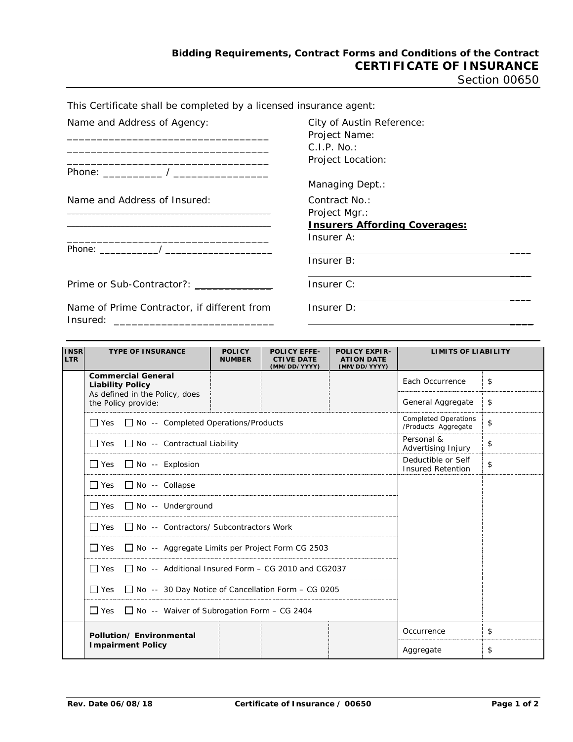Section 00650

| This Certificate shall be completed by a licensed insurance agent:                                                                                                              |                                                                                      |
|---------------------------------------------------------------------------------------------------------------------------------------------------------------------------------|--------------------------------------------------------------------------------------|
| Name and Address of Agency:                                                                                                                                                     | City of Austin Reference:<br>Project Name:<br>C.I.P. No.<br>Project Location:        |
|                                                                                                                                                                                 | Managing Dept.:                                                                      |
| Name and Address of Insured:                                                                                                                                                    | Contract No.:<br>Project Mgr.:<br><b>Insurers Affording Coverages:</b><br>Insurer A: |
|                                                                                                                                                                                 | Insurer B:                                                                           |
|                                                                                                                                                                                 | Insurer C:                                                                           |
| Name of Prime Contractor, if different from<br>Insured:<br><u> 1989 - Johann John Stein, mars and de British and de British and de British and de British and de British an</u> | Insurer D:                                                                           |
|                                                                                                                                                                                 |                                                                                      |

| <b>INSR</b><br><b>LTR</b> | <b>TYPE OF INSURANCE</b>                                             | <b>POLICY</b><br><b>NUMBER</b> | <b>POLICY EFFE-</b><br><b>CTIVE DATE</b><br>(MM/DD/YYYY) | <b>POLICY EXPIR-</b><br><b>ATION DATE</b><br>(MM/DD/YYYY) | <b>LIMITS OF LIABILITY</b>       |    |
|---------------------------|----------------------------------------------------------------------|--------------------------------|----------------------------------------------------------|-----------------------------------------------------------|----------------------------------|----|
|                           | <b>Commercial General</b><br><b>Liability Policy</b>                 |                                |                                                          |                                                           | Each Occurrence                  | \$ |
|                           | As defined in the Policy, does<br>the Policy provide:                |                                |                                                          |                                                           | General Aggregate                | \$ |
|                           | $\Box$ Yes $\Box$ No -- Completed Operations/Products                |                                |                                                          | <b>Completed Operations</b><br>/Products Aggregate        | \$                               |    |
|                           | $\Box$ Yes $\Box$ No -- Contractual Liability                        |                                |                                                          |                                                           | Personal &<br>Advertising Injury | \$ |
|                           | $\Box$ Yes $\Box$ No -- Explosion                                    |                                | Deductible or Self<br><b>Insured Retention</b>           | \$                                                        |                                  |    |
|                           | $\Box$ Yes $\Box$ No -- Collapse                                     |                                |                                                          |                                                           |                                  |    |
|                           | $\Box$ Yes $\Box$ No -- Underground                                  |                                |                                                          |                                                           |                                  |    |
|                           | $\Box$ Yes $\Box$ No -- Contractors/ Subcontractors Work             |                                |                                                          |                                                           |                                  |    |
|                           | $\Box$ Yes $\Box$ No -- Aggregate Limits per Project Form CG 2503    |                                |                                                          |                                                           |                                  |    |
|                           | $\Box$ Yes $\Box$ No -- Additional Insured Form – CG 2010 and CG2037 |                                |                                                          |                                                           |                                  |    |
|                           | $\Box$ Yes $\Box$ No -- 30 Day Notice of Cancellation Form – CG 0205 |                                |                                                          |                                                           |                                  |    |
|                           | $\Box$ Yes $\Box$ No -- Waiver of Subrogation Form – CG 2404         |                                |                                                          |                                                           |                                  |    |
|                           | Pollution/Environmental                                              |                                |                                                          |                                                           | Occurrence                       | \$ |
|                           | <b>Impairment Policy</b>                                             |                                |                                                          |                                                           | Aggregate                        | \$ |